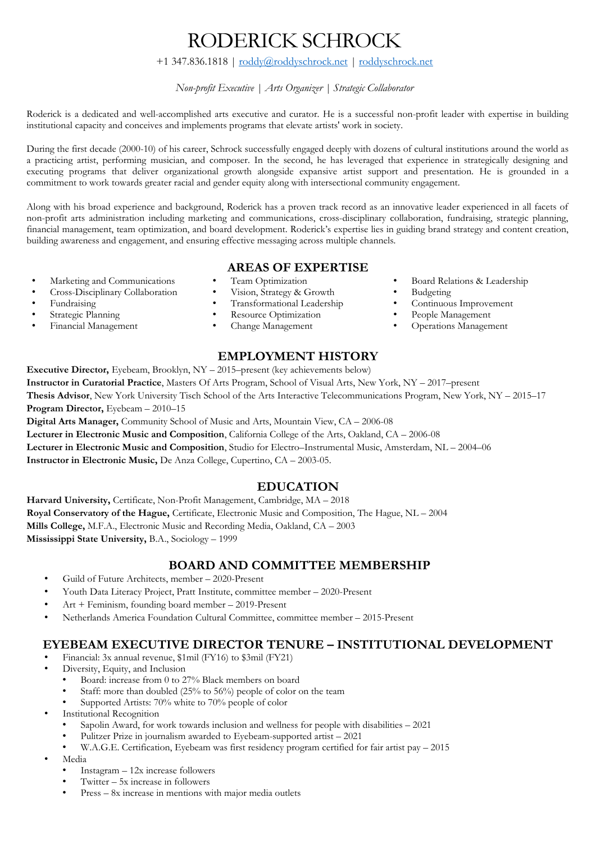## RODERICK SCHROCK

#### +1 347.836.1818 | [roddy@roddyschrock.net](mailto:roddy@roddyschrock.net) | [roddyschrock.net](https://roddyschrock.net/)

#### *Non-profit Executive | Arts Organizer | Strategic Collaborator*

Roderick is a dedicated and well-accomplished arts executive and curator. He is a successful non-profit leader with expertise in building institutional capacity and conceives and implements programs that elevate artists' work in society.

During the first decade (2000-10) of his career, Schrock successfully engaged deeply with dozens of cultural institutions around the world as a practicing artist, performing musician, and composer. In the second, he has leveraged that experience in strategically designing and executing programs that deliver organizational growth alongside expansive artist support and presentation. He is grounded in a commitment to work towards greater racial and gender equity along with intersectional community engagement.

Along with his broad experience and background, Roderick has a proven track record as an innovative leader experienced in all facets of non-profit arts administration including marketing and communications, cross-disciplinary collaboration, fundraising, strategic planning, financial management, team optimization, and board development. Roderick's expertise lies in guiding brand strategy and content creation, building awareness and engagement, and ensuring effective messaging across multiple channels.

# **AREAS OF EXPERTISE**

- Marketing and Communications Team Optimization Board Relations & Leadership<br>• Cross-Disciplinary Collaboration Vision, Strategy & Growth Budgeting
- Cross-Disciplinary Collaboration Vision, Strategy & Growth Budgeting<br>• Fundraising Transformational Leadership Continuous Improvement
- 
- 
- 
- 
- 
- Fundraising Transformational Leadership Continuous Improvement
	- Resource Optimization
	-

#### **EMPLOYMENT HISTORY**

**Executive Director,** Eyebeam, Brooklyn, NY – 2015–present (key achievements below) **Instructor in Curatorial Practice**, Masters Of Arts Program, School of Visual Arts, New York, NY – 2017–present **Thesis Advisor**, New York University Tisch School of the Arts Interactive Telecommunications Program, New York, NY – 2015–17 **Program Director,** Eyebeam – 2010–15

**Digital Arts Manager,** Community School of Music and Arts, Mountain View, CA – 2006-08 **Lecturer in Electronic Music and Composition**, California College of the Arts, Oakland, CA – 2006-08 **Lecturer in Electronic Music and Composition**, Studio for Electro–Instrumental Music, Amsterdam, NL – 2004–06 **Instructor in Electronic Music,** De Anza College, Cupertino, CA – 2003-05.

#### **EDUCATION**

**Harvard University,** Certificate, Non-Profit Management, Cambridge, MA – 2018 **Royal Conservatory of the Hague,** Certificate, Electronic Music and Composition, The Hague, NL – 2004 **Mills College,** M.F.A., Electronic Music and Recording Media, Oakland, CA – 2003 **Mississippi State University,** B.A., Sociology – 1999

### **BOARD AND COMMITTEE MEMBERSHIP**

- Guild of Future Architects, member 2020-Present
- Youth Data Literacy Project, Pratt Institute, committee member 2020-Present
- Art + Feminism, founding board member 2019-Present
- Netherlands America Foundation Cultural Committee, committee member 2015-Present

### **EYEBEAM EXECUTIVE DIRECTOR TENURE – INSTITUTIONAL DEVELOPMENT**

- Financial: 3x annual revenue, \$1mil (FY16) to \$3mil (FY21)
- Diversity, Equity, and Inclusion
	- Board: increase from 0 to 27% Black members on board
	- Staff: more than doubled (25% to 56%) people of color on the team
	- Supported Artists: 70% white to 70% people of color
- Institutional Recognition
	- Sapolin Award, for work towards inclusion and wellness for people with disabilities 2021
	- Pulitzer Prize in journalism awarded to Eyebeam-supported artist 2021
	- W.A.G.E. Certification, Eyebeam was first residency program certified for fair artist pay 2015
- Media
	- Instagram 12x increase followers
	- Twitter 5x increase in followers
	- Press 8x increase in mentions with major media outlets
- 
- 
- 
- 
- Financial Management Change Management Operations Management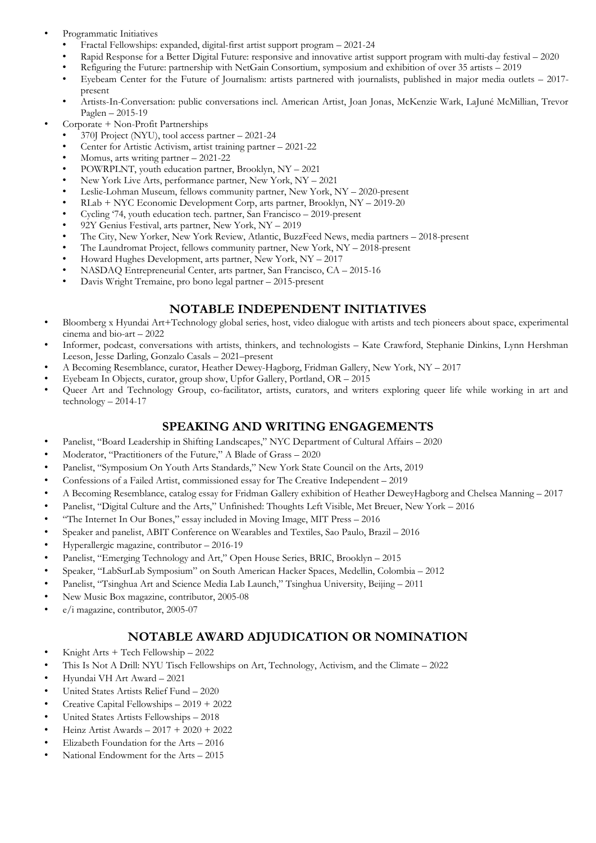- Programmatic Initiatives
	- Fractal Fellowships: expanded, digital-first artist support program 2021-24
	- Rapid Response for a Better Digital Future: responsive and innovative artist support program with multi-day festival 2020
	- Refiguring the Future: partnership with NetGain Consortium, symposium and exhibition of over 35 artists 2019
	- Eyebeam Center for the Future of Journalism: artists partnered with journalists, published in major media outlets 2017 present
	- Artists-In-Conversation: public conversations incl. American Artist, Joan Jonas, McKenzie Wark, LaJuné McMillian, Trevor Paglen – 2015-19
- Corporate + Non-Profit Partnerships
	- 370J Project (NYU), tool access partner 2021-24
	- Center for Artistic Activism, artist training partner 2021-22
	- Momus, arts writing partner 2021-22
	- POWRPLNT, youth education partner, Brooklyn, NY 2021
	- New York Live Arts, performance partner, New York, NY 2021
	- Leslie-Lohman Museum, fellows community partner, New York, NY 2020-present
	- RLab + NYC Economic Development Corp, arts partner, Brooklyn, NY 2019-20
	- Cycling '74, youth education tech. partner, San Francisco 2019-present
	- 92Y Genius Festival, arts partner, New York, NY 2019
	- The City, New Yorker, New York Review, Atlantic, BuzzFeed News, media partners 2018-present
	- The Laundromat Project, fellows community partner, New York, NY 2018-present
	- Howard Hughes Development, arts partner, New York, NY 2017
	- NASDAQ Entrepreneurial Center, arts partner, San Francisco, CA 2015-16
	- Davis Wright Tremaine, pro bono legal partner 2015-present

### **NOTABLE INDEPENDENT INITIATIVES**

- Bloomberg x Hyundai Art+Technology global series, host, video dialogue with artists and tech pioneers about space, experimental cinema and bio-art – 2022
- Informer, podcast, conversations with artists, thinkers, and technologists Kate Crawford, Stephanie Dinkins, Lynn Hershman Leeson, Jesse Darling, Gonzalo Casals – 2021–present
- A Becoming Resemblance, curator, Heather Dewey-Hagborg, Fridman Gallery, New York, NY 2017
- Eyebeam In Objects, curator, group show, Upfor Gallery, Portland, OR 2015
- Queer Art and Technology Group, co-facilitator, artists, curators, and writers exploring queer life while working in art and technology – 2014-17

## **SPEAKING AND WRITING ENGAGEMENTS**

- Panelist, "Board Leadership in Shifting Landscapes," NYC Department of Cultural Affairs 2020
- Moderator, "Practitioners of the Future," A Blade of Grass 2020
- Panelist, "Symposium On Youth Arts Standards," New York State Council on the Arts, 2019
- Confessions of a Failed Artist, commissioned essay for The Creative Independent 2019
- A Becoming Resemblance, catalog essay for Fridman Gallery exhibition of Heather DeweyHagborg and Chelsea Manning 2017
- Panelist, "Digital Culture and the Arts," Unfinished: Thoughts Left Visible, Met Breuer, New York 2016
- "The Internet In Our Bones," essay included in Moving Image, MIT Press 2016
- Speaker and panelist, ABIT Conference on Wearables and Textiles, Sao Paulo, Brazil 2016
- Hyperallergic magazine, contributor 2016-19
- Panelist, "Emerging Technology and Art," Open House Series, BRIC, Brooklyn 2015
- Speaker, "LabSurLab Symposium" on South American Hacker Spaces, Medellin, Colombia 2012
- Panelist, "Tsinghua Art and Science Media Lab Launch," Tsinghua University, Beijing 2011
- New Music Box magazine, contributor, 2005-08
- e/i magazine, contributor, 2005-07

### **NOTABLE AWARD ADJUDICATION OR NOMINATION**

- Knight Arts + Tech Fellowship 2022
- This Is Not A Drill: NYU Tisch Fellowships on Art, Technology, Activism, and the Climate 2022
- Hyundai VH Art Award 2021
- United States Artists Relief Fund 2020
- Creative Capital Fellowships 2019 + 2022
- United States Artists Fellowships 2018
- Heinz Artist Awards 2017 + 2020 + 2022
- Elizabeth Foundation for the Arts 2016
- National Endowment for the Arts 2015